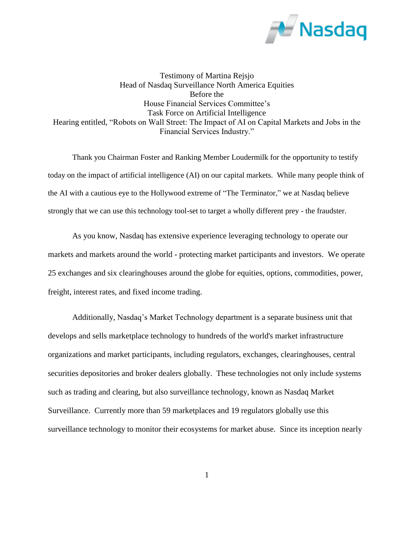

Testimony of Martina Rejsjo Head of Nasdaq Surveillance North America Equities Before the House Financial Services Committee's Task Force on Artificial Intelligence Hearing entitled, "Robots on Wall Street: The Impact of AI on Capital Markets and Jobs in the Financial Services Industry."

Thank you Chairman Foster and Ranking Member Loudermilk for the opportunity to testify today on the impact of artificial intelligence (AI) on our capital markets. While many people think of the AI with a cautious eye to the Hollywood extreme of "The Terminator," we at Nasdaq believe strongly that we can use this technology tool-set to target a wholly different prey - the fraudster.

As you know, Nasdaq has extensive experience leveraging technology to operate our markets and markets around the world - protecting market participants and investors. We operate 25 exchanges and six clearinghouses around the globe for equities, options, commodities, power, freight, interest rates, and fixed income trading.

Additionally, Nasdaq's Market Technology department is a separate business unit that develops and sells marketplace technology to hundreds of the world's market infrastructure organizations and market participants, including regulators, exchanges, clearinghouses, central securities depositories and broker dealers globally. These technologies not only include systems such as trading and clearing, but also surveillance technology, known as Nasdaq Market Surveillance. Currently more than 59 marketplaces and 19 regulators globally use this surveillance technology to monitor their ecosystems for market abuse. Since its inception nearly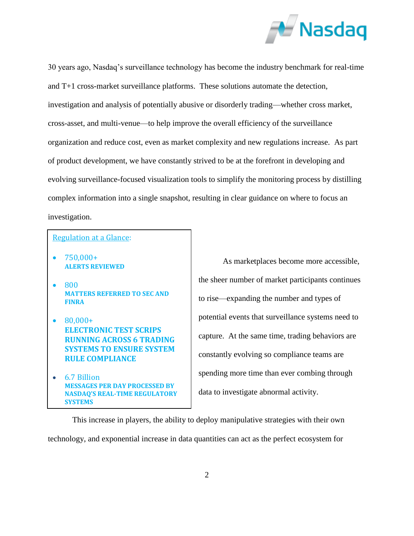

30 years ago, Nasdaq's surveillance technology has become the industry benchmark for real-time and T+1 cross-market surveillance platforms. These solutions automate the detection, investigation and analysis of potentially abusive or disorderly trading—whether cross market, cross-asset, and multi-venue—to help improve the overall efficiency of the surveillance organization and reduce cost, even as market complexity and new regulations increase. As part of product development, we have constantly strived to be at the forefront in developing and evolving surveillance-focused visualization tools to simplify the monitoring process by distilling complex information into a single snapshot, resulting in clear guidance on where to focus an investigation.

## Regulation at a Glance:

- 750,000+ **ALERTS REVIEWED**
- 800 **MATTERS REFERRED TO SEC AND FINRA**
- $\bullet$  80,000+ **ELECTRONIC TEST SCRIPS RUNNING ACROSS 6 TRADING SYSTEMS TO ENSURE SYSTEM RULE COMPLIANCE**
- 6.7 Billion **MESSAGES PER DAY PROCESSED BY NASDAQ'S REAL-TIME REGULATORY SYSTEMS**

As marketplaces become more accessible, the sheer number of market participants continues to rise—expanding the number and types of potential events that surveillance systems need to capture. At the same time, trading behaviors are constantly evolving so compliance teams are spending more time than ever combing through data to investigate abnormal activity.

This increase in players, the ability to deploy manipulative strategies with their own technology, and exponential increase in data quantities can act as the perfect ecosystem for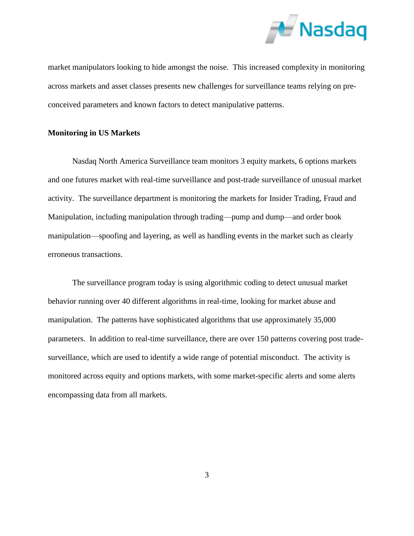

market manipulators looking to hide amongst the noise. This increased complexity in monitoring across markets and asset classes presents new challenges for surveillance teams relying on preconceived parameters and known factors to detect manipulative patterns.

## **Monitoring in US Markets**

Nasdaq North America Surveillance team monitors 3 equity markets, 6 options markets and one futures market with real-time surveillance and post-trade surveillance of unusual market activity. The surveillance department is monitoring the markets for Insider Trading, Fraud and Manipulation, including manipulation through trading—pump and dump—and order book manipulation—spoofing and layering, as well as handling events in the market such as clearly erroneous transactions.

The surveillance program today is using algorithmic coding to detect unusual market behavior running over 40 different algorithms in real-time, looking for market abuse and manipulation. The patterns have sophisticated algorithms that use approximately 35,000 parameters. In addition to real-time surveillance, there are over 150 patterns covering post tradesurveillance, which are used to identify a wide range of potential misconduct. The activity is monitored across equity and options markets, with some market-specific alerts and some alerts encompassing data from all markets.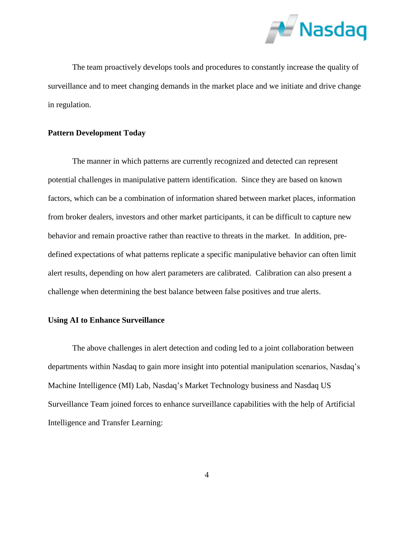

The team proactively develops tools and procedures to constantly increase the quality of surveillance and to meet changing demands in the market place and we initiate and drive change in regulation.

# **Pattern Development Today**

The manner in which patterns are currently recognized and detected can represent potential challenges in manipulative pattern identification. Since they are based on known factors, which can be a combination of information shared between market places, information from broker dealers, investors and other market participants, it can be difficult to capture new behavior and remain proactive rather than reactive to threats in the market. In addition, predefined expectations of what patterns replicate a specific manipulative behavior can often limit alert results, depending on how alert parameters are calibrated. Calibration can also present a challenge when determining the best balance between false positives and true alerts.

# **Using AI to Enhance Surveillance**

The above challenges in alert detection and coding led to a joint collaboration between departments within Nasdaq to gain more insight into potential manipulation scenarios, Nasdaq's Machine Intelligence (MI) Lab, Nasdaq's Market Technology business and Nasdaq US Surveillance Team joined forces to enhance surveillance capabilities with the help of Artificial Intelligence and Transfer Learning: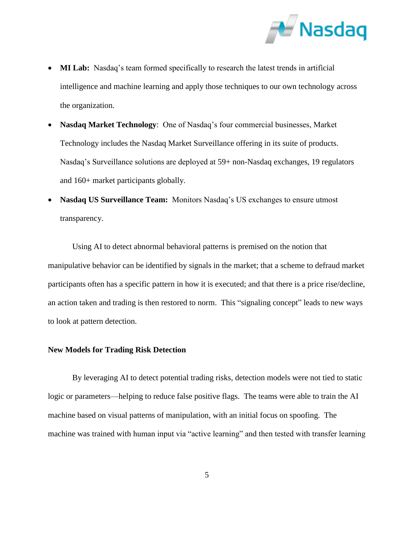

- **MI Lab:** Nasdaq's team formed specifically to research the latest trends in artificial intelligence and machine learning and apply those techniques to our own technology across the organization.
- **Nasdaq Market Technology**: One of Nasdaq's four commercial businesses, Market Technology includes the Nasdaq Market Surveillance offering in its suite of products. Nasdaq's Surveillance solutions are deployed at 59+ non-Nasdaq exchanges, 19 regulators and 160+ market participants globally.
- **Nasdaq US Surveillance Team:** Monitors Nasdaq's US exchanges to ensure utmost transparency.

Using AI to detect abnormal behavioral patterns is premised on the notion that manipulative behavior can be identified by signals in the market; that a scheme to defraud market participants often has a specific pattern in how it is executed; and that there is a price rise/decline, an action taken and trading is then restored to norm. This "signaling concept" leads to new ways to look at pattern detection.

# **New Models for Trading Risk Detection**

By leveraging AI to detect potential trading risks, detection models were not tied to static logic or parameters—helping to reduce false positive flags. The teams were able to train the AI machine based on visual patterns of manipulation, with an initial focus on spoofing. The machine was trained with human input via "active learning" and then tested with transfer learning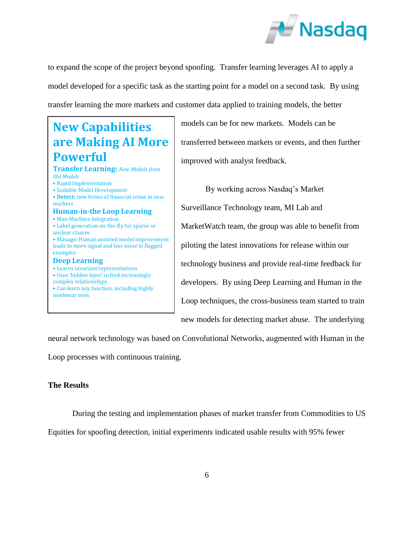

to expand the scope of the project beyond spoofing. Transfer learning leverages AI to apply a model developed for a specific task as the starting point for a model on a second task. By using transfer learning the more markets and customer data applied to training models, the better

# **New Capabilities are Making AI More Powerful**

#### **Transfer Learning:** *New Models from Old Models*

- Rapid Implementation
- Scalable Model Development
- **Detect:** new forms of financial crime in new markets

#### **Human-in-the Loop Learning** • Man-Machine Integration

- Label generation on-the-fly for sparse or unclear classes
- Manage**:** Human assisted model improvement leads to more signal and less noise in flagged examples

# **Deep Learning**

- Learns invariant representations • Uses 'hidden layer' in find increasingly
- complex relationships
- Can learn any function, including highly nonlinear ones

models can be for new markets. Models can be transferred between markets or events, and then further improved with analyst feedback.

By working across Nasdaq's Market Surveillance Technology team, MI Lab and MarketWatch team, the group was able to benefit from piloting the latest innovations for release within our technology business and provide real-time feedback for developers. By using Deep Learning and Human in the Loop techniques, the cross-business team started to train new models for detecting market abuse. The underlying

neural network technology was based on Convolutional Networks, augmented with Human in the

Loop processes with continuous training.

# **The Results**

During the testing and implementation phases of market transfer from Commodities to US

Equities for spoofing detection, initial experiments indicated usable results with 95% fewer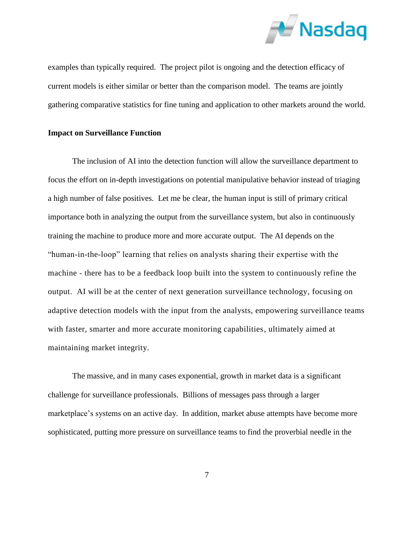

examples than typically required. The project pilot is ongoing and the detection efficacy of current models is either similar or better than the comparison model. The teams are jointly gathering comparative statistics for fine tuning and application to other markets around the world.

### **Impact on Surveillance Function**

The inclusion of AI into the detection function will allow the surveillance department to focus the effort on in-depth investigations on potential manipulative behavior instead of triaging a high number of false positives. Let me be clear, the human input is still of primary critical importance both in analyzing the output from the surveillance system, but also in continuously training the machine to produce more and more accurate output. The AI depends on the "human-in-the-loop" learning that relies on analysts sharing their expertise with the machine - there has to be a feedback loop built into the system to continuously refine the output. AI will be at the center of next generation surveillance technology, focusing on adaptive detection models with the input from the analysts, empowering surveillance teams with faster, smarter and more accurate monitoring capabilities, ultimately aimed at maintaining market integrity.

The massive, and in many cases exponential, growth in market data is a significant challenge for surveillance professionals. Billions of messages pass through a larger marketplace's systems on an active day. In addition, market abuse attempts have become more sophisticated, putting more pressure on surveillance teams to find the proverbial needle in the

7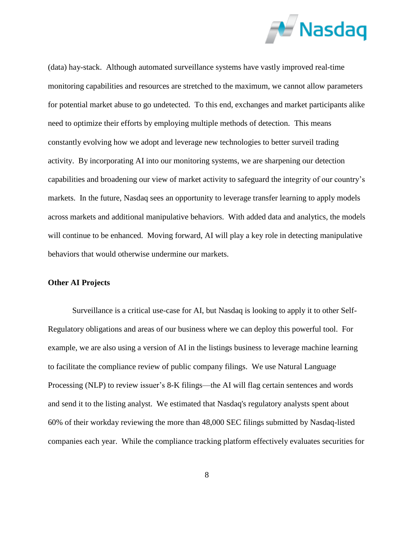

(data) hay-stack. Although automated surveillance systems have vastly improved real-time monitoring capabilities and resources are stretched to the maximum, we cannot allow parameters for potential market abuse to go undetected. To this end, exchanges and market participants alike need to optimize their efforts by employing multiple methods of detection. This means constantly evolving how we adopt and leverage new technologies to better surveil trading activity. By incorporating AI into our monitoring systems, we are sharpening our detection capabilities and broadening our view of market activity to safeguard the integrity of our country's markets. In the future, Nasdaq sees an opportunity to leverage transfer learning to apply models across markets and additional manipulative behaviors. With added data and analytics, the models will continue to be enhanced. Moving forward, AI will play a key role in detecting manipulative behaviors that would otherwise undermine our markets.

# **Other AI Projects**

Surveillance is a critical use-case for AI, but Nasdaq is looking to apply it to other Self-Regulatory obligations and areas of our business where we can deploy this powerful tool. For example, we are also using a version of AI in the listings business to leverage machine learning to facilitate the compliance review of public company filings. We use Natural Language Processing (NLP) to review issuer's 8-K filings—the AI will flag certain sentences and words and send it to the listing analyst. We estimated that Nasdaq's regulatory analysts spent about 60% of their workday reviewing the more than 48,000 SEC filings submitted by Nasdaq-listed companies each year. While the compliance tracking platform effectively evaluates securities for